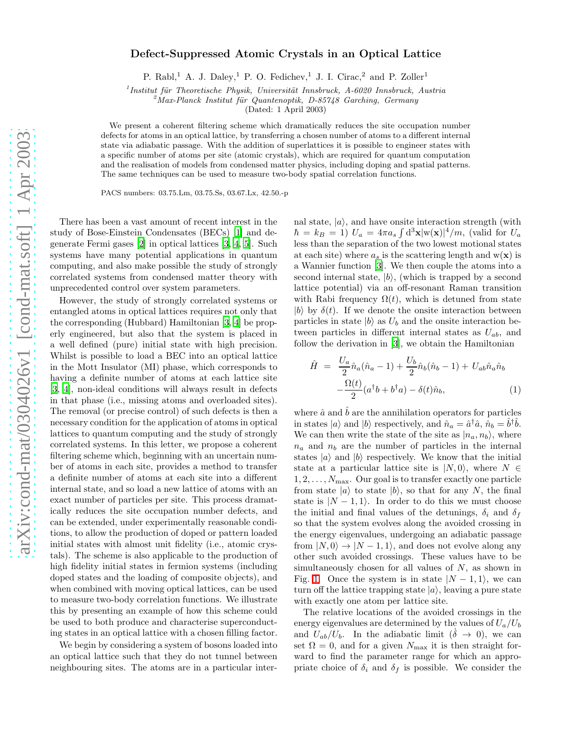## Defect-Suppressed Atomic Crystals in an Optical Lattice

P. Rabl,<sup>1</sup> A. J. Daley,<sup>1</sup> P. O. Fedichev,<sup>1</sup> J. I. Cirac,<sup>2</sup> and P. Zoller<sup>1</sup>

 $1$ Institut für Theoretische Physik, Universität Innsbruck, A-6020 Innsbruck, Austria

<sup>2</sup>Max-Planck Institut für Quantenoptik, D-85748 Garching, Germany

(Dated: 1 April 2003)

We present a coherent filtering scheme which dramatically reduces the site occupation number defects for atoms in an optical lattice, by transferring a chosen number of atoms to a different internal state via adiabatic passage. With the addition of superlattices it is possible to engineer states with a specific number of atoms per site (atomic crystals), which are required for quantum computation and the realisation of models from condensed matter physics, including doping and spatial patterns. The same techniques can be used to measure two-body spatial correlation functions.

PACS numbers: 03.75.Lm, 03.75.Ss, 03.67.Lx, 42.50.-p

There has been a vast amount of recent interest in the study of Bose-Einstein Condensates (BECs) [\[1](#page-3-0)] and degenerate Fermi gases [\[2\]](#page-3-1) in optical lattices [\[3,](#page-3-2) [4,](#page-3-3) [5](#page-3-4)]. Such systems have many potential applications in quantum computing, and also make possible the study of strongly correlated systems from condensed matter theory with unprecedented control over system parameters.

However, the study of strongly correlated systems or entangled atoms in optical lattices requires not only that the corresponding (Hubbard) Hamiltonian [\[3](#page-3-2), [4\]](#page-3-3) be properly engineered, but also that the system is placed in a well defined (pure) initial state with high precision. Whilst is possible to load a BEC into an optical lattice in the Mott Insulator (MI) phase, which corresponds to having a definite number of atoms at each lattice site [\[3,](#page-3-2) [4\]](#page-3-3), non-ideal conditions will always result in defects in that phase (i.e., missing atoms and overloaded sites). The removal (or precise control) of such defects is then a necessary condition for the application of atoms in optical lattices to quantum computing and the study of strongly correlated systems. In this letter, we propose a coherent filtering scheme which, beginning with an uncertain number of atoms in each site, provides a method to transfer a definite number of atoms at each site into a different internal state, and so load a new lattice of atoms with an exact number of particles per site. This process dramatically reduces the site occupation number defects, and can be extended, under experimentally reasonable conditions, to allow the production of doped or pattern loaded initial states with almost unit fidelity (i.e., atomic crystals). The scheme is also applicable to the production of high fidelity initial states in fermion systems (including doped states and the loading of composite objects), and when combined with moving optical lattices, can be used to measure two-body correlation functions. We illustrate this by presenting an example of how this scheme could be used to both produce and characterise superconducting states in an optical lattice with a chosen filling factor.

We begin by considering a system of bosons loaded into an optical lattice such that they do not tunnel between neighbouring sites. The atoms are in a particular internal state,  $|a\rangle$ , and have onsite interaction strength (with  $\hbar = k_B = 1$ )  $U_a = 4\pi a_s \int d^3 \mathbf{x} |\mathbf{w}(\mathbf{x})|^4/m$ , (valid for  $U_a$ less than the separation of the two lowest motional states at each site) where  $a_s$  is the scattering length and  $w(x)$  is a Wannier function [\[3](#page-3-2)]. We then couple the atoms into a second internal state,  $|b\rangle$ , (which is trapped by a second lattice potential) via an off-resonant Raman transition with Rabi frequency  $\Omega(t)$ , which is detuned from state  $|b\rangle$  by  $\delta(t)$ . If we denote the onsite interaction between particles in state  $|b\rangle$  as  $U_b$  and the onsite interaction between particles in different internal states as  $U_{ab}$ , and follow the derivation in [\[3](#page-3-2)], we obtain the Hamiltonian

<span id="page-0-0"></span>
$$
\hat{H} = \frac{U_a}{2} \hat{n}_a (\hat{n}_a - 1) + \frac{U_b}{2} \hat{n}_b (\hat{n}_b - 1) + U_{ab} \hat{n}_a \hat{n}_b \n- \frac{\Omega(t)}{2} (a^\dagger b + b^\dagger a) - \delta(t) \hat{n}_b,
$$
\n(1)

where  $\hat{a}$  and  $\hat{b}$  are the annihilation operators for particles in states  $|a\rangle$  and  $|b\rangle$  respectively, and  $\hat{n}_a = \hat{a}^\dagger \hat{a}$ ,  $\hat{n}_b = \hat{b}^\dagger \hat{b}$ . We can then write the state of the site as  $|n_a, n_b\rangle$ , where  $n_a$  and  $n_b$  are the number of particles in the internal states  $|a\rangle$  and  $|b\rangle$  respectively. We know that the initial state at a particular lattice site is  $|N, 0\rangle$ , where  $N \in$  $1, 2, \ldots, N_{\text{max}}$ . Our goal is to transfer exactly one particle from state  $|a\rangle$  to state  $|b\rangle$ , so that for any N, the final state is  $|N - 1, 1\rangle$ . In order to do this we must choose the initial and final values of the detunings,  $\delta_i$  and  $\delta_f$ so that the system evolves along the avoided crossing in the energy eigenvalues, undergoing an adiabatic passage from  $|N, 0\rangle \rightarrow |N-1, 1\rangle$ , and does not evolve along any other such avoided crossings. These values have to be simultaneously chosen for all values of  $N$ , as shown in Fig. [1.](#page-1-0) Once the system is in state  $|N - 1, 1\rangle$ , we can turn off the lattice trapping state  $|a\rangle$ , leaving a pure state with exactly one atom per lattice site.

The relative locations of the avoided crossings in the energy eigenvalues are determined by the values of  $U_a/U_b$ and  $U_{ab}/U_b$ . In the adiabatic limit  $(\delta \rightarrow 0)$ , we can set  $\Omega = 0$ , and for a given  $N_{\text{max}}$  it is then straight forward to find the parameter range for which an appropriate choice of  $\delta_i$  and  $\delta_f$  is possible. We consider the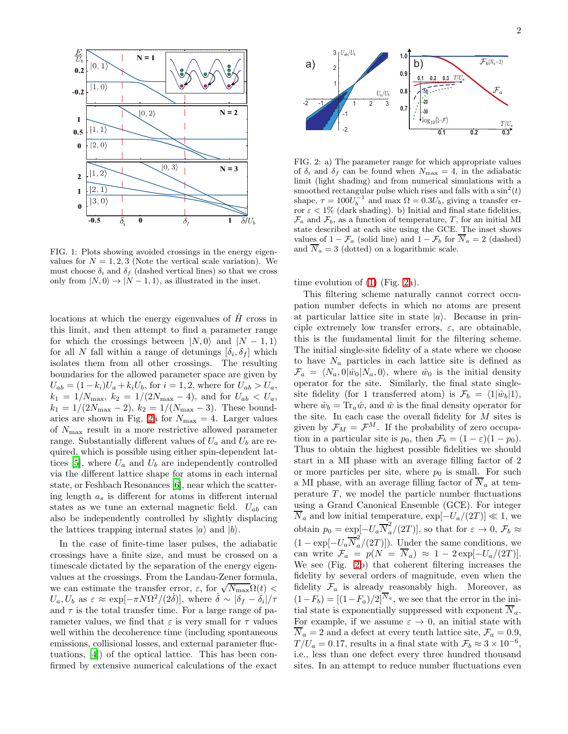

<span id="page-1-0"></span>FIG. 1: Plots showing avoided crossings in the energy eigenvalues for  $N = 1, 2, 3$  (Note the vertical scale variation). We must choose  $\delta_i$  and  $\delta_f$  (dashed vertical lines) so that we cross only from  $|N, 0\rangle \rightarrow |N-1, 1\rangle$ , as illustrated in the inset.

locations at which the energy eigenvalues of  $\hat{H}$  cross in this limit, and then attempt to find a parameter range for which the crossings between  $|N, 0\rangle$  and  $|N - 1, 1\rangle$ for all N fall within a range of detunings  $[\delta_i, \delta_f]$  which isolates them from all other crossings. The resulting boundaries for the allowed parameter space are given by  $U_{ab} = (1 - k_i)U_a + k_i U_b$ , for  $i = 1, 2$ , where for  $U_{ab} > U_a$ ,  $k_1 = 1/N_{\text{max}}$ ,  $k_2 = 1/(2N_{\text{max}} - 4)$ , and for  $U_{ab} < U_a$ ,  $k_1 = 1/(2N_{\text{max}}-2), k_2 = 1/(N_{\text{max}}-3).$  These bound-aries are shown in Fig. [2a](#page-1-1) for  $N_{\text{max}} = 4$ . Larger values of  $N_{\text{max}}$  result in a more restrictive allowed parameter range. Substantially different values of  $U_a$  and  $U_b$  are required, which is possible using either spin-dependent lat-tices [\[5](#page-3-4)], where  $U_a$  and  $U_b$  are independently controlled via the different lattice shape for atoms in each internal state, or Feshbach Resonances [\[6](#page-3-5)], near which the scattering length  $a_s$  is different for atoms in different internal states as we tune an external magnetic field.  $U_{ab}$  can also be independently controlled by slightly displacing the lattices trapping internal states  $|a\rangle$  and  $|b\rangle$ .

In the case of finite-time laser pulses, the adiabatic crossings have a finite size, and must be crossed on a timescale dictated by the separation of the energy eigenvalues at the crossings. From the Landau-Zener formula, we can estimate the transfer error,  $\varepsilon$ , for  $\sqrt{N_{\text{max}}}\Omega(t)$  $U_a, U_b$  as  $\varepsilon \approx \exp[-\pi N\Omega^2/(2\delta)],$  where  $\delta \sim |\delta_f - \delta_i|/\tau$ and  $\tau$  is the total transfer time. For a large range of parameter values, we find that  $\varepsilon$  is very small for  $\tau$  values well within the decoherence time (including spontaneous emissions, collisional losses, and external parameter fluctuations, [\[4](#page-3-3)]) of the optical lattice. This has been confirmed by extensive numerical calculations of the exact



<span id="page-1-1"></span>FIG. 2: a) The parameter range for which appropriate values of  $\delta_i$  and  $\delta_f$  can be found when  $N_{\text{max}} = 4$ , in the adiabatic limit (light shading) and from numerical simulations with a smoothed rectangular pulse which rises and falls with a  $\sin^2(t)$ shape,  $\tau = 100U_b^{-1}$  and max  $\Omega = 0.3U_b$ , giving a transfer error  $\varepsilon$  < 1% (dark shading). b) Initial and final state fidelities,  $\mathcal{F}_a$  and  $\mathcal{F}_b$ , as a function of temperature, T, for an initial MI state described at each site using the GCE. The inset shows values of  $1 - \mathcal{F}_a$  (solid line) and  $1 - \mathcal{F}_b$  for  $\overline{N}_a = 2$  (dashed) and  $\overline{N}_a = 3$  (dotted) on a logarithmic scale.

time evolution of [\(1\)](#page-0-0) (Fig. [2a](#page-1-1)).

This filtering scheme naturally cannot correct occupation number defects in which no atoms are present at particular lattice site in state  $|a\rangle$ . Because in principle extremely low transfer errors,  $\varepsilon$ , are obtainable, this is the fundamental limit for the filtering scheme. The initial single-site fidelity of a state where we choose to have  $N_a$  particles in each lattice site is defined as  $\mathcal{F}_a = \langle N_a, 0 | \hat{w}_0 | N_a, 0 \rangle$ , where  $\hat{w}_0$  is the initial density operator for the site. Similarly, the final state singlesite fidelity (for 1 transferred atom) is  $\mathcal{F}_b = \langle 1|\hat{w}_b|1\rangle$ , where  $\hat{w}_b = \text{Tr}_a \hat{w}$ , and  $\hat{w}$  is the final density operator for the site. In each case the overall fidelity for  $M$  sites is given by  $\mathcal{F}_M = \mathcal{F}^M$ . If the probability of zero occupation in a particular site is  $p_0$ , then  $\mathcal{F}_b = (1 - \varepsilon)(1 - p_0)$ . Thus to obtain the highest possible fidelities we should start in a MI phase with an average filling factor of 2 or more particles per site, where  $p_0$  is small. For such a MI phase, with an average filling factor of  $\overline{N}_a$  at temperature  $T$ , we model the particle number fluctuations using a Grand Canonical Ensemble (GCE). For integer  $\overline{N}_a$  and low initial temperature,  $\exp[-U_a/(2T)] \ll 1$ , we obtain  $p_0 = \exp[-U_a \overline{N}_a^2/(2T)]$ , so that for  $\varepsilon \to 0$ ,  $\mathcal{F}_b \approx$  $(1 - \exp[-U_a \overline{N}_a^2/(2T)]).$  Under the same conditions, we can write  $\mathcal{F}_a = p(N = \overline{N}_a) \approx 1 - 2 \exp[-U_a/(2T)].$ We see (Fig. [2b](#page-1-1)) that coherent filtering increases the fidelity by several orders of magnitude, even when the fidelity  $\mathcal{F}_a$  is already reasonably high. Moreover, as  $(1-F_b) = [(1-F_a)/2]^{\overline{N}_a}$ , we see that the error in the initial state is exponentially suppressed with exponent  $\overline{N}_a$ . For example, if we assume  $\varepsilon \to 0$ , an initial state with  $\overline{N}_a = 2$  and a defect at every tenth lattice site,  $\mathcal{F}_a = 0.9$ ,  $T/U_a = 0.17$ , results in a final state with  $\mathcal{F}_b \approx 3 \times 10^{-6}$ , i.e., less than one defect every three hundred thousand sites. In an attempt to reduce number fluctuations even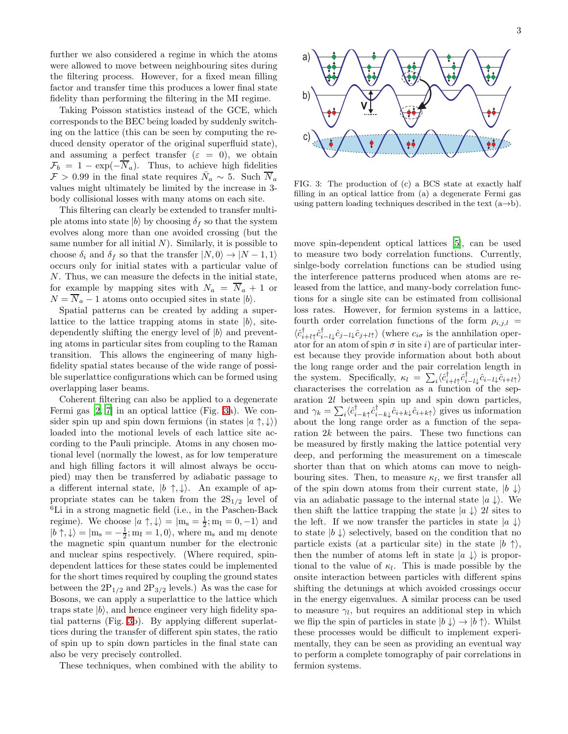further we also considered a regime in which the atoms were allowed to move between neighbouring sites during the filtering process. However, for a fixed mean filling factor and transfer time this produces a lower final state fidelity than performing the filtering in the MI regime.

Taking Poisson statistics instead of the GCE, which corresponds to the BEC being loaded by suddenly switching on the lattice (this can be seen by computing the reduced density operator of the original superfluid state), and assuming a perfect transfer  $(\varepsilon = 0)$ , we obtain  $\mathcal{F}_b = 1 - \exp(-\overline{N}_a)$ . Thus, to achieve high fidelities  $\mathcal{F} > 0.99$  in the final state requires  $\bar{N}_a \sim 5$ . Such  $\overline{N}_a$ values might ultimately be limited by the increase in 3 body collisional losses with many atoms on each site.

This filtering can clearly be extended to transfer multiple atoms into state  $|b\rangle$  by choosing  $\delta_f$  so that the system evolves along more than one avoided crossing (but the same number for all initial  $N$ ). Similarly, it is possible to choose  $\delta_i$  and  $\delta_f$  so that the transfer  $|N, 0\rangle \rightarrow |N-1, 1\rangle$ occurs only for initial states with a particular value of N. Thus, we can measure the defects in the initial state, for example by mapping sites with  $N_a = \overline{N}_a + 1$  or  $N = \overline{N}_a - 1$  atoms onto occupied sites in state  $|b\rangle$ .

Spatial patterns can be created by adding a superlattice to the lattice trapping atoms in state  $|b\rangle$ , sitedependently shifting the energy level of  $|b\rangle$  and preventing atoms in particular sites from coupling to the Raman transition. This allows the engineering of many highfidelity spatial states because of the wide range of possible superlattice configurations which can be formed using overlapping laser beams.

Coherent filtering can also be applied to a degenerate Fermi gas [\[2,](#page-3-1) [7](#page-3-6)] in an optical lattice (Fig. [3a](#page-2-0)). We consider spin up and spin down fermions (in states  $|a \uparrow, \downarrow\rangle$ ) loaded into the motional levels of each lattice site according to the Pauli principle. Atoms in any chosen motional level (normally the lowest, as for low temperature and high filling factors it will almost always be occupied) may then be transferred by adiabatic passage to a different internal state,  $|b \uparrow, \downarrow\rangle$ . An example of appropriate states can be taken from the  $2S_{1/2}$  level of <sup>6</sup>Li in a strong magnetic field (i.e., in the Paschen-Back regime). We choose  $|a \uparrow, \downarrow\rangle = |m_s = \frac{1}{2}; m_I = 0, -1\rangle$  and  $|b \uparrow, \downarrow\rangle = |m_s = -\frac{1}{2}; m_I = 1, 0\rangle$ , where  $m_s$  and  $m_I$  denote the magnetic spin quantum number for the electronic and nuclear spins respectively. (Where required, spindependent lattices for these states could be implemented for the short times required by coupling the ground states between the  $2P_{1/2}$  and  $2P_{3/2}$  levels.) As was the case for Bosons, we can apply a superlattice to the lattice which traps state  $|b\rangle$ , and hence engineer very high fidelity spatial patterns (Fig. [3b](#page-2-0)). By applying different superlattices during the transfer of different spin states, the ratio of spin up to spin down particles in the final state can also be very precisely controlled.

These techniques, when combined with the ability to



<span id="page-2-0"></span>FIG. 3: The production of (c) a BCS state at exactly half filling in an optical lattice from (a) a degenerate Fermi gas using pattern loading techniques described in the text  $(a\rightarrow b)$ .

move spin-dependent optical lattices [\[5](#page-3-4)], can be used to measure two body correlation functions. Currently, sinlge-body correlation functions can be studied using the interference patterns produced when atoms are released from the lattice, and many-body correlation functions for a single site can be estimated from collisional loss rates. However, for fermion systems in a lattice, fourth order correlation functions of the form  $\rho_{i,j,l}$  $\langle \hat{c}_{i+l\uparrow}^{\dagger} \hat{c}_{i-l\downarrow}^{\dagger} \hat{c}_{j-l\downarrow} \hat{c}_{j+l\uparrow} \rangle$  (where  $c_{i\sigma}$  is the annhilation operator for an atom of spin  $\sigma$  in site i) are of particular interest because they provide information about both about the long range order and the pair correlation length in the system. Specifically,  $\kappa_l = \sum_i \langle \hat{c}^{\dagger}_{i+l\uparrow} \hat{c}^{\dagger}_{i-l\downarrow} \hat{c}_{i-l\downarrow} \hat{c}_{i+l\uparrow} \rangle$ characterises the correlation as a function of the separation 2l between spin up and spin down particles, and  $\gamma_k = \sum_i \langle \hat{c}_{i-k}^{\dagger} \hat{c}_{i+k}^{\dagger} \hat{c}_{i+k} \rangle$  gives us information about the long range order as a function of the separation 2k between the pairs. These two functions can be measured by firstly making the lattice potential very deep, and performing the measurement on a timescale shorter than that on which atoms can move to neighbouring sites. Then, to measure  $\kappa_l$ , we first transfer all of the spin down atoms from their current state,  $|b \downarrow\rangle$ via an adiabatic passage to the internal state  $|a \rangle$ . We then shift the lattice trapping the state  $|a \rangle$  2l sites to the left. If we now transfer the particles in state  $|a \downarrow\rangle$ to state  $|b \downarrow \rangle$  selectively, based on the condition that no particle exists (at a particular site) in the state  $|b \uparrow \rangle$ , then the number of atoms left in state  $|a \downarrow\rangle$  is proportional to the value of  $\kappa_l$ . This is made possible by the onsite interaction between particles with different spins shifting the detunings at which avoided crossings occur in the energy eigenvalues. A similar process can be used to measure  $\gamma_l$ , but requires an additional step in which we flip the spin of particles in state  $|b \downarrow\rangle \rightarrow |b \uparrow\rangle$ . Whilst these processes would be difficult to implement experimentally, they can be seen as providing an eventual way to perform a complete tomography of pair correlations in fermion systems.